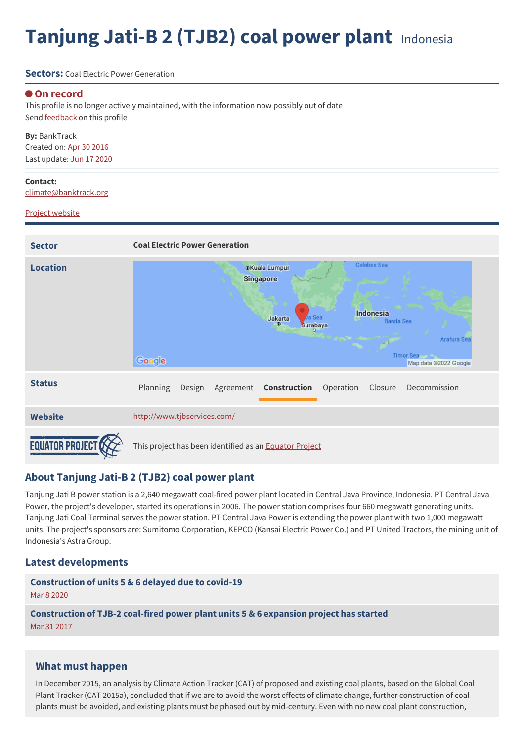# **Tanjung Jati-B 2 (TJB2) coal power plant** Indonesia

#### **Sectors:** Coal Flectric Power Generation

#### **On record**

This profile is no longer actively maintained, with the information now possibly out of date Send **[feedback](https://www.banktrack.org/feedback/dodgydeal/tjb2)** on this profile

**By:** BankTrack Created on: Apr 30 2016 Last update: Jun 17 2020

#### **Contact:**

[climate@banktrack.org](mailto:climate@banktrack.org)

#### Project [website](http://www.tjbservices.com/)



### **About Tanjung Jati-B 2 (TJB2) coal power plant**

Tanjung Jati B power station is a 2,640 megawatt coal-fired power plant located in Central Java Province, Indonesia. PT Central Java Power, the project's developer, started its operations in 2006. The power station comprises four 660 megawatt generating units. Tanjung Jati Coal Terminal serves the power station. PT Central Java Power is extending the power plant with two 1,000 megawatt units. The project's sponsors are: Sumitomo Corporation, KEPCO (Kansai Electric Power Co.) and PT United Tractors, the mining unit of Indonesia's Astra Group.

#### **Latest developments**

**[Construction](javascript:void(0)) of units 5 & 6 delayed due to covid-19** Mar 8 2020

**[Construction](javascript:void(0)) of TJB-2 coal-fired power plant units 5 & 6 expansion project has started** Mar 31 2017

### **What must happen**

In December 2015, an analysis by Climate Action Tracker (CAT) of proposed and existing coal plants, based on the Global Coal Plant Tracker (CAT 2015a), concluded that if we are to avoid the worst effects of climate change, further construction of coal plants must be avoided, and existing plants must be phased out by mid-century. Even with no new coal plant construction,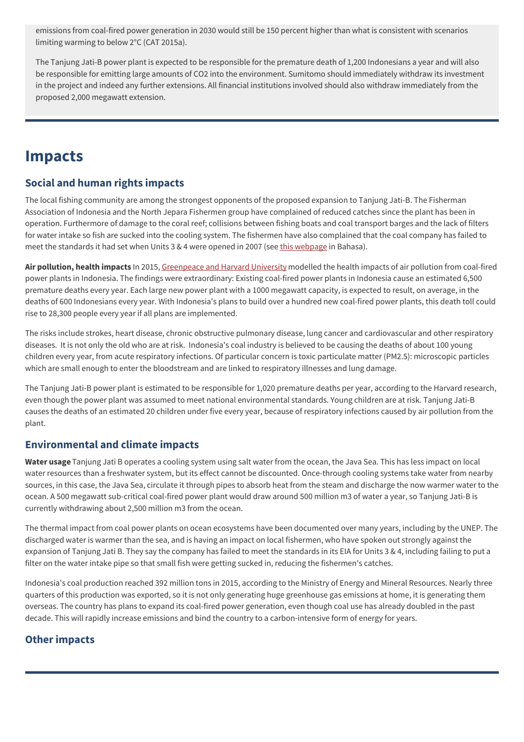emissions from coal-fired power generation in 2030 would still be 150 percent higher than what is consistent with scenarios limiting warming to below 2°C (CAT 2015a).

The Tanjung Jati-B power plant is expected to be responsible for the premature death of 1,200 Indonesians a year and will also be responsible for emitting large amounts of CO2 into the environment. Sumitomo should immediately withdraw its investment in the project and indeed any further extensions. All financial institutions involved should also withdraw immediately from the proposed 2,000 megawatt extension.

# **Impacts**

### **Social and human rights impacts**

The local fishing community are among the strongest opponents of the proposed expansion to Tanjung Jati-B. The Fisherman Association of Indonesia and the North Jepara Fishermen group have complained of reduced catches since the plant has been in operation. Furthermore of damage to the coral reef; collisions between fishing boats and coal transport barges and the lack of filters for water intake so fish are sucked into the cooling system. The fishermen have also complained that the coal company has failed to meet the standards it had set when Units 3 & 4 were opened in 2007 (see this [webpage](http://beritajateng.net/nelayan-jepara-tolak-pembangunan-unit-5-dan-6-pltu-jepara/) in Bahasa).

**Air pollution, health impacts** In 2015, [Greenpeace](http://www.greenpeace.org/seasia/id/PageFiles/695938/full-report-human-cost-of-coal-power.pdf) and Harvard University modelled the health impacts of air pollution from coal-fired power plants in Indonesia. The findings were extraordinary: Existing coal-fired power plants in Indonesia cause an estimated 6,500 premature deaths every year. Each large new power plant with a 1000 megawatt capacity, is expected to result, on average, in the deaths of 600 Indonesians every year. With Indonesia's plans to build over a hundred new coal-fired power plants, this death toll could rise to 28,300 people every year if all plans are implemented.

The risks include strokes, heart disease, chronic obstructive pulmonary disease, lung cancer and cardiovascular and other respiratory diseases. It is not only the old who are at risk. Indonesia's coal industry is believed to be causing the deaths of about 100 young children every year, from acute respiratory infections. Of particular concern is toxic particulate matter (PM2.5): microscopic particles which are small enough to enter the bloodstream and are linked to respiratory illnesses and lung damage.

The Tanjung Jati-B power plant is estimated to be responsible for 1,020 premature deaths per year, according to the Harvard research, even though the power plant was assumed to meet national environmental standards. Young children are at risk. Tanjung Jati-B causes the deaths of an estimated 20 children under five every year, because of respiratory infections caused by air pollution from the plant.

### **Environmental and climate impacts**

**Water usage** Tanjung Jati B operates a cooling system using salt water from the ocean, the Java Sea. This has less impact on local water resources than a freshwater system, but its effect cannot be discounted. Once-through cooling systems take water from nearby sources, in this case, the Java Sea, circulate it through pipes to absorb heat from the steam and discharge the now warmer water to the ocean. A 500 megawatt sub-critical coal-fired power plant would draw around 500 million m3 of water a year, so Tanjung Jati-B is currently withdrawing about 2,500 million m3 from the ocean.

The thermal impact from coal power plants on ocean ecosystems have been documented over many years, including by the UNEP. The discharged water is warmer than the sea, and is having an impact on local fishermen, who have spoken out strongly against the expansion of Tanjung Jati B. They say the company has failed to meet the standards in its EIA for Units 3 & 4, including failing to put a filter on the water intake pipe so that small fish were getting sucked in, reducing the fishermen's catches.

Indonesia's coal production reached 392 million tons in 2015, according to the Ministry of Energy and Mineral Resources. Nearly three quarters of this production was exported, so it is not only generating huge greenhouse gas emissions at home, it is generating them overseas. The country has plans to expand its coal-fired power generation, even though coal use has already doubled in the past decade. This will rapidly increase emissions and bind the country to a carbon-intensive form of energy for years.

## **Other impacts**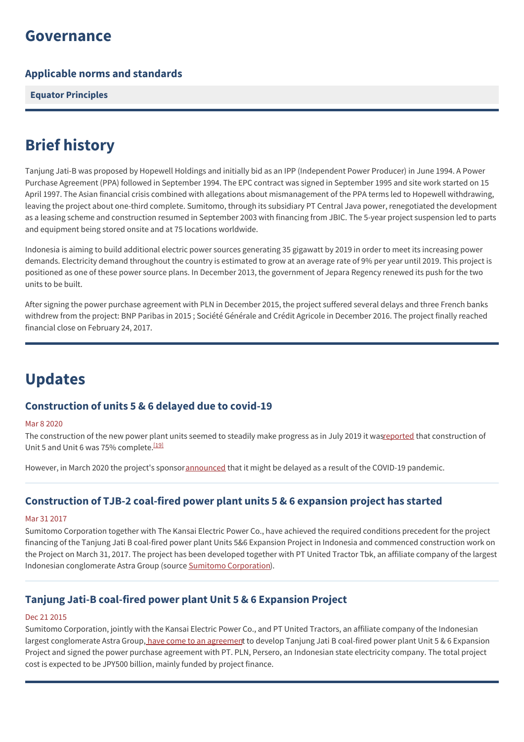# **Governance**

### **Applicable norms and standards**

**Equator [Principles](http://www.equator-principles.com)**

# **Brief history**

Tanjung Jati-B was proposed by Hopewell Holdings and initially bid as an IPP (Independent Power Producer) in June 1994. A Power Purchase Agreement (PPA) followed in September 1994. The EPC contract was signed in September 1995 and site work started on 15 April 1997. The Asian financial crisis combined with allegations about mismanagement of the PPA terms led to Hopewell withdrawing, leaving the project about one-third complete. Sumitomo, through its subsidiary PT Central Java power, renegotiated the development as a leasing scheme and construction resumed in September 2003 with financing from JBIC. The 5-year project suspension led to parts and equipment being stored onsite and at 75 locations worldwide.

Indonesia is aiming to build additional electric power sources generating 35 gigawatt by 2019 in order to meet its increasing power demands. Electricity demand throughout the country is estimated to grow at an average rate of 9% per year until 2019. This project is positioned as one of these power source plans. In December 2013, the government of Jepara Regency renewed its push for the two units to be built.

After signing the power purchase agreement with PLN in December 2015, the project suffered several delays and three French banks withdrew from the project: BNP Paribas in 2015 ; Société Générale and Crédit Agricole in December 2016. The project finally reached financial close on February 24, 2017.

# **Updates**

#### **Construction of units 5 & 6 delayed due to covid-19**

#### Mar 8 2020

The construction of the new power plant units seemed to steadily make progress as in July 2019 it was reported that construction of Unit 5 and Unit 6 was 75% complete.<sup>[\[19\]](https://www.gem.wiki/Tanjung_Jati_B_power_station#cite_note-19)</sup>

However, in March 2020 the project's sponsor[announced](https://industri.kontan.co.id/news/jadwal-operasional-pembangkit-terganggu-wabah-corona-ini-tanggapan-pln?page=all) that it might be delayed as a result of the COVID-19 pandemic.

### **Construction of TJB-2 coal-fired power plant units 5 & 6 expansion project has started**

#### Mar 31 2017

Sumitomo Corporation together with The Kansai Electric Power Co., have achieved the required conditions precedent for the project financing of the Tanjung Jati B coal-fired power plant Units 5&6 Expansion Project in Indonesia and commenced construction work on the Project on March 31, 2017. The project has been developed together with PT United Tractor Tbk, an affiliate company of the largest Indonesian conglomerate Astra Group (source Sumitomo [Corporation](http://www.sumitomocorp.co.jp/english/news/detail/id=29885)).

### **Tanjung Jati-B coal-fired power plant Unit 5 & 6 Expansion Project**

#### Dec 21 2015

Sumitomo Corporation, jointly with the Kansai Electric Power Co., and PT United Tractors, an affiliate company of the Indonesian largest conglomerate Astra Group, have come to an [agreemen](http://www.sumitomocorp.co.jp/english/news/detail/id=29092)t to develop Tanjung Jati B coal-fired power plant Unit 5 & 6 Expansion Project and signed the power purchase agreement with PT. PLN, Persero, an Indonesian state electricity company. The total project cost is expected to be JPY500 billion, mainly funded by project finance.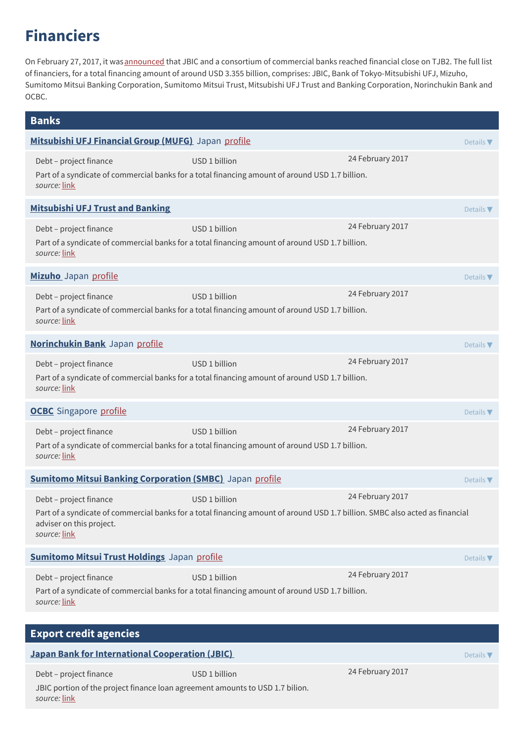# **Financiers**

On February 27, 2017, it was [announced](http://www.jbic.go.jp/en/information/press/press-2016/0227-53954) that JBIC and a consortium of commercial banks reached financial close on TJB2. The full list of financiers, for a total financing amount of around USD 3.355 billion, comprises: JBIC, Bank of Tokyo-Mitsubishi UFJ, Mizuho, Sumitomo Mitsui Banking Corporation, Sumitomo Mitsui Trust, Mitsubishi UFJ Trust and Banking Corporation, Norinchukin Bank and OCBC.

| <b>Banks</b>                                                                                                            |                                                                                                                                               |                  |                              |
|-------------------------------------------------------------------------------------------------------------------------|-----------------------------------------------------------------------------------------------------------------------------------------------|------------------|------------------------------|
| Mitsubishi UFJ Financial Group (MUFG) Japan profile                                                                     |                                                                                                                                               |                  | Details $\blacktriangledown$ |
| Debt - project finance<br>source: link                                                                                  | USD 1 billion<br>Part of a syndicate of commercial banks for a total financing amount of around USD 1.7 billion.                              | 24 February 2017 |                              |
| <b>Mitsubishi UFJ Trust and Banking</b>                                                                                 |                                                                                                                                               |                  | Details $\nabla$             |
| Debt - project finance<br>source: link                                                                                  | USD 1 billion<br>Part of a syndicate of commercial banks for a total financing amount of around USD 1.7 billion.                              | 24 February 2017 |                              |
| Mizuho Japan profile                                                                                                    |                                                                                                                                               |                  | Details $\nabla$             |
| Debt - project finance<br>source: link                                                                                  | USD 1 billion<br>Part of a syndicate of commercial banks for a total financing amount of around USD 1.7 billion.                              | 24 February 2017 |                              |
| Norinchukin Bank Japan profile                                                                                          |                                                                                                                                               |                  | Details $\blacktriangledown$ |
| Debt - project finance<br>source: link                                                                                  | USD 1 billion<br>Part of a syndicate of commercial banks for a total financing amount of around USD 1.7 billion.                              | 24 February 2017 |                              |
| <b>OCBC</b> Singapore profile                                                                                           |                                                                                                                                               |                  | Details $\nabla$             |
| Debt - project finance<br>source: link                                                                                  | USD 1 billion<br>Part of a syndicate of commercial banks for a total financing amount of around USD 1.7 billion.                              | 24 February 2017 |                              |
| <b>Sumitomo Mitsui Banking Corporation (SMBC)</b> Japan profile<br>Details $\nabla$                                     |                                                                                                                                               |                  |                              |
| Debt - project finance<br>adviser on this project.<br>source: link                                                      | USD 1 billion<br>Part of a syndicate of commercial banks for a total financing amount of around USD 1.7 billion. SMBC also acted as financial | 24 February 2017 |                              |
| <b>Sumitomo Mitsui Trust Holdings</b> Japan profile                                                                     |                                                                                                                                               |                  | Details $\nabla$             |
| Debt - project finance<br>source: link                                                                                  | USD 1 billion<br>Part of a syndicate of commercial banks for a total financing amount of around USD 1.7 billion.                              | 24 February 2017 |                              |
| <b>Export credit agencies</b>                                                                                           |                                                                                                                                               |                  |                              |
| <b>Japan Bank for International Cooperation (JBIC)</b><br>Details $\nabla$                                              |                                                                                                                                               |                  |                              |
| Debt - project finance<br>JBIC portion of the project finance loan agreement amounts to USD 1.7 bilion.<br>source: link | USD 1 billion                                                                                                                                 | 24 February 2017 |                              |